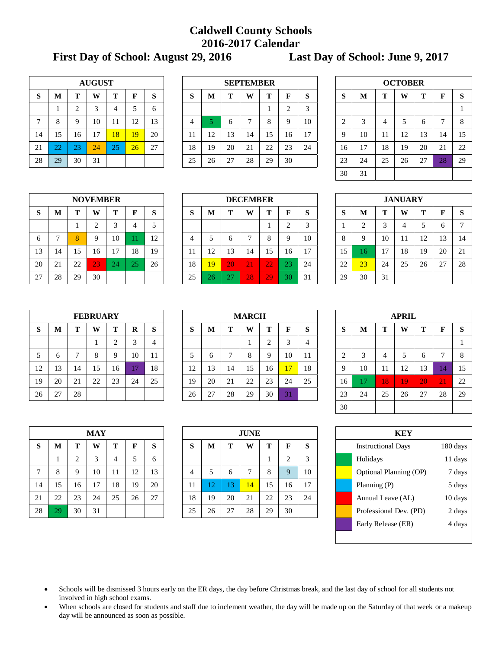## **Caldwell County Schools 2016-2017 Calendar**

**First Day of School: August 29, 2016 Last Day of School: June 9, 2017**

|    | <b>AUGUST</b> |    |    |    |    |    |  |  |  |  |  |  |  |  |
|----|---------------|----|----|----|----|----|--|--|--|--|--|--|--|--|
| S  | М             | т  | W  | т  | F  | S  |  |  |  |  |  |  |  |  |
|    |               | 2  | 3  | 4  | 5  | 6  |  |  |  |  |  |  |  |  |
| 7  | 8             | 9  | 10 | 11 | 12 | 13 |  |  |  |  |  |  |  |  |
| 14 | 15            | 16 | 17 | 18 | 19 | 20 |  |  |  |  |  |  |  |  |
| 21 | 22            | 23 | 24 | 25 | 26 | 27 |  |  |  |  |  |  |  |  |
| 28 | 29            | 30 | 31 |    |    |    |  |  |  |  |  |  |  |  |

|              |              |        | <b>AUGUST</b> |    |    |    |                                             | <b>SEPTEMBER</b>                      |    |    |    |    |        |    |                    |    |    | <b>OCTOBER</b> |              |    |              |
|--------------|--------------|--------|---------------|----|----|----|---------------------------------------------|---------------------------------------|----|----|----|----|--------|----|--------------------|----|----|----------------|--------------|----|--------------|
| S            | M            | m      | W             | m  | г  | S  | $\sim$<br>D                                 | T<br>W<br>$\sim$<br>m<br>п<br>M<br>Ю. |    |    |    |    |        |    | $\mathbf{C}$<br>D. | M  | m  | W              | m            |    | <sub>S</sub> |
|              |              | ◠<br>↵ | 3             |    |    | 6  |                                             |                                       |    |    |    | ∠  | $\sim$ |    |                    |    |    |                |              |    |              |
| $\mathbf{r}$ |              |        | 10            | -1 | 12 | 13 |                                             |                                       |    |    | 8  | Q  | 10     |    |                    |    | 4  |                | <sub>(</sub> |    | 8            |
| 14           | 15           | 16     | 17            | 8  | 19 | 20 | 1 I                                         | 12                                    | 13 | 14 | 15 | 16 | 17     |    | Q                  | 10 |    | 12             | 13           | 14 | 15           |
| 21           | $\cap$<br>∠∠ | 23     | 24            | 25 | 26 | 27 | 18                                          | 19                                    | 20 | 21 | 22 | 23 | 24     |    | 16                 |    | 18 | 19             | 20           | 21 | 22           |
| 28           | 29           | 30     | 31            |    |    |    | 25<br>29<br>30<br>26<br>$\mathcal{L}$<br>28 |                                       |    |    |    |    |        | 23 | 24                 | 25 | 26 | 27             | $\cap$<br>28 | 29 |              |
|              |              |        |               |    |    |    |                                             |                                       |    |    |    |    |        |    |                    |    |    |                |              |    |              |

| <b>OCTOBER</b> |    |    |    |    |                |    |  |  |  |  |  |  |  |
|----------------|----|----|----|----|----------------|----|--|--|--|--|--|--|--|
| S              | М  | T  | W  | T  | F              | S  |  |  |  |  |  |  |  |
|                |    |    |    |    |                |    |  |  |  |  |  |  |  |
| 2              | 3  | 4  | 5  | 6  | $\overline{7}$ | 8  |  |  |  |  |  |  |  |
| 9              | 10 | 11 | 12 | 13 | 14             | 15 |  |  |  |  |  |  |  |
| 16             | 17 | 18 | 19 | 20 | 21             | 22 |  |  |  |  |  |  |  |
| 23             | 24 | 25 | 26 | 27 | 28             | 29 |  |  |  |  |  |  |  |
| 30             | 31 |    |    |    |                |    |  |  |  |  |  |  |  |

|    | <b>NOVEMBER</b> |    |                |    |    |    |  |  |  |  |  |  |  |  |
|----|-----------------|----|----------------|----|----|----|--|--|--|--|--|--|--|--|
| S  | M               | т  | W              | Т  | F  | S  |  |  |  |  |  |  |  |  |
|    |                 |    | $\overline{2}$ | 3  |    | 5  |  |  |  |  |  |  |  |  |
| 6  | 7               | 8  | 9              | 10 | 11 | 12 |  |  |  |  |  |  |  |  |
| 13 | 14              | 15 | 16             | 17 | 18 | 19 |  |  |  |  |  |  |  |  |
| 20 | 21              | 22 | 23             | 24 | 25 | 26 |  |  |  |  |  |  |  |  |
| 27 | 28              | 29 | 30             |    |    |    |  |  |  |  |  |  |  |  |

|    |                           |    | <b>NOVEMBER</b> |               |    |        | <b>DECEMBER</b>                                   |                                       |    |    |                 |         |                |    |                   |     |    | <b>JANUARY</b> |          |                     |    |
|----|---------------------------|----|-----------------|---------------|----|--------|---------------------------------------------------|---------------------------------------|----|----|-----------------|---------|----------------|----|-------------------|-----|----|----------------|----------|---------------------|----|
| S  | М                         |    | W               | m             | т  | S      | ົ<br>D                                            | W<br>т<br><b>STEP</b><br>M<br>Б<br>×. |    |    |                 |         |                |    | $\mathbf{C}$<br>O | M   |    | W              |          |                     | -S |
|    |                           |    | ◠               |               |    | ς<br>◡ |                                                   |                                       |    |    |                 | ↩       | ╭              |    |                   |     | ◠  | 4              |          |                     | ⇁  |
| 6  |                           | 8  | Q               | 10            |    | 12     |                                                   |                                       |    |    | C<br>O          | a       | 10             |    | ∩                 |     | 10 | 11             | ר ו<br>┸ | 13                  | 14 |
| 13 | 14                        | 15 | 16              | $\mathcal{I}$ | 18 | 19     |                                                   | 1 ೧<br>⊥∠                             | 13 | 14 | 15              | 16      | $\blacksquare$ |    | 15                | l 6 |    | 18             | 19       | 20                  | 21 |
| 20 | $\bigcap$ 1<br>$\angle 1$ | 22 | $\overline{2}3$ | 24            | Z. | 26     | 18                                                | 19                                    | 20 | 21 | $\overline{2}2$ | ഹ<br>23 | 24             |    | 22                | 23  | 24 | 25             | 26       | $\mathcal{L}$<br>Δ, | 28 |
| 27 | 28                        | 29 | 30              |               |    |        | 28<br>29<br>25<br>$\sim$<br>30<br>31<br>26<br>ا ت |                                       |    |    |                 |         | 29             | 30 | 31                |     |    |                |          |                     |    |

| <b>JANUARY</b> |                |    |    |    |    |    |  |  |  |  |  |  |  |
|----------------|----------------|----|----|----|----|----|--|--|--|--|--|--|--|
| S              | M              | т  | W  | Т  | F  | S  |  |  |  |  |  |  |  |
| 1              | $\overline{2}$ | 3  |    | 5  | 6  | 7  |  |  |  |  |  |  |  |
| 8              | 9              | 10 | 11 | 12 | 13 | 14 |  |  |  |  |  |  |  |
| 15             | 16             | 17 | 18 | 19 | 20 | 21 |  |  |  |  |  |  |  |
| 22             | 23             | 24 | 25 | 26 | 27 | 28 |  |  |  |  |  |  |  |
| 29             | 30             | 31 |    |    |    |    |  |  |  |  |  |  |  |

|    |    |    | <b>FEBRUARY</b> |                |    |    |
|----|----|----|-----------------|----------------|----|----|
| S  | M  | т  | W               | Т              | R  | S  |
|    |    |    |                 | $\overline{2}$ | 3  |    |
| 5  | 6  | 7  | 8               | 9              | 10 | 11 |
| 12 | 13 | 14 | 15              | 16             | 17 | 18 |
| 19 | 20 | 21 | 22              | 23             | 24 | 25 |
| 26 | 27 | 28 |                 |                |    |    |

|    |                       |    | <b>FEBRUARY</b> |    |    |    | <b>MARCH</b> |                             |    |    |    |                 |    |  |    |    |      | <b>APRIL</b> |    |    |    |
|----|-----------------------|----|-----------------|----|----|----|--------------|-----------------------------|----|----|----|-----------------|----|--|----|----|------|--------------|----|----|----|
| S  | M                     |    | W               | m  | R  | S  | $\sim$<br>D  | W<br>т<br>m<br>M<br>F<br>×. |    |    |    |                 |    |  |    | M  |      | W            |    |    | S  |
|    |                       |    |                 |    |    | 4  |              |                             |    |    | ∸  |                 |    |  |    |    |      |              |    |    |    |
| 5  |                       |    | 8               |    | 10 | 11 |              | 6                           |    | 8  | Q  | 10              |    |  |    |    | 4    | J            | O  |    | 8  |
| 12 | 13                    | 14 | 15              | 16 |    | 18 | 12           | 13                          | 14 | 15 | 16 | $\overline{17}$ | 18 |  | Q  | 10 | -1-1 | 12           | 13 |    | 15 |
| 19 | 20                    | 21 | 22              | 23 | 24 | 25 | 19           | 20                          | 21 | 22 | 23 | 24              | 25 |  | 16 |    | 18   | 19           | 20 | 21 | 22 |
| 26 | $\mathcal{L}$<br>ا کے | 28 |                 |    |    |    | 26           | 27                          | 28 | 29 | 30 | 31              |    |  | 23 | 24 | 25   | 26           | 27 | 28 | 29 |

| AFKIL      |             |    |    |    |    |    |  |  |  |  |  |  |
|------------|-------------|----|----|----|----|----|--|--|--|--|--|--|
| S          | $\mathbf M$ | T  | W  | Т  | F  | S  |  |  |  |  |  |  |
|            |             |    |    |    |    | 1  |  |  |  |  |  |  |
| $\sqrt{2}$ | 3           | 4  | 5  | 6  | 7  | 8  |  |  |  |  |  |  |
| 9          | 10          | 11 | 12 | 13 | 14 | 15 |  |  |  |  |  |  |
| 16         | 17          | 18 | 19 | 20 | 21 | 22 |  |  |  |  |  |  |
| 23         | 24          | 25 | 26 | 27 | 28 | 29 |  |  |  |  |  |  |
| 30         |             |    |    |    |    |    |  |  |  |  |  |  |

|    | MAY |    |    |    |    |    |  |  |  |  |  |  |  |
|----|-----|----|----|----|----|----|--|--|--|--|--|--|--|
| S  | M   | Т  | F  | S  |    |    |  |  |  |  |  |  |  |
|    |     | 2  | 3  | 4  | 5  | 6  |  |  |  |  |  |  |  |
| 7  | 8   | 9  | 10 | 11 | 12 | 13 |  |  |  |  |  |  |  |
| 14 | 15  | 16 | 17 | 18 | 19 | 20 |  |  |  |  |  |  |  |
| 21 | 22  | 23 | 24 | 25 | 26 | 27 |  |  |  |  |  |  |  |
| 28 | 29  | 30 | 31 |    |    |    |  |  |  |  |  |  |  |

|               |    |    | <b>MAY</b> |    |    |    | <b>JUNE</b> |    |    |    |    |          |        |  | <b>KEY</b>                |          |
|---------------|----|----|------------|----|----|----|-------------|----|----|----|----|----------|--------|--|---------------------------|----------|
| S             | M  |    | W          |    |    | S  | O           | M  |    | W  |    |          | Q<br>O |  | <b>Instructional Days</b> | 180 days |
|               |    | ⌒  | 3          |    |    | 6  |             |    |    |    |    |          |        |  | Holidays                  | 11 days  |
| $\mathcal{L}$ |    | Ω  | 10         |    | 12 | 13 |             |    | 6  |    | 8  | $\Omega$ | 10     |  | Optional Planning (OP)    | 7 days   |
| 14            | 15 | 16 | 17         | 18 | 19 | 20 | 11          | 2  |    | 14 | 15 | 16       | 17     |  | Planning $(P)$            | 5 days   |
| 21            | 22 | 23 | 24         | 25 | 26 | 27 | 18          | 19 | 20 | 21 | 22 | 23       | 24     |  | Annual Leave (AL)         | 10 days  |
| 28            | 29 | 30 | 31         |    |    |    | 25          | 26 | 27 | 28 | 29 | 30       |        |  | Professional Dev. (PD)    | 2 days   |
|               |    |    |            |    |    |    |             |    |    |    |    |          |        |  |                           |          |

| KEY |                           |          |  |  |  |  |  |  |  |  |
|-----|---------------------------|----------|--|--|--|--|--|--|--|--|
|     | <b>Instructional Days</b> | 180 days |  |  |  |  |  |  |  |  |
|     | Holidays                  | 11 days  |  |  |  |  |  |  |  |  |
|     | Optional Planning (OP)    | 7 days   |  |  |  |  |  |  |  |  |
|     | Planning $(P)$            | 5 days   |  |  |  |  |  |  |  |  |
|     | Annual Leave (AL)         | 10 days  |  |  |  |  |  |  |  |  |
|     | Professional Dev. (PD)    | 2 days   |  |  |  |  |  |  |  |  |
|     | Early Release (ER)        | 4 days   |  |  |  |  |  |  |  |  |
|     |                           |          |  |  |  |  |  |  |  |  |

 Schools will be dismissed 3 hours early on the ER days, the day before Christmas break, and the last day of school for all students not involved in high school exams.

 When schools are closed for students and staff due to inclement weather, the day will be made up on the Saturday of that week or a makeup day will be announced as soon as possible.